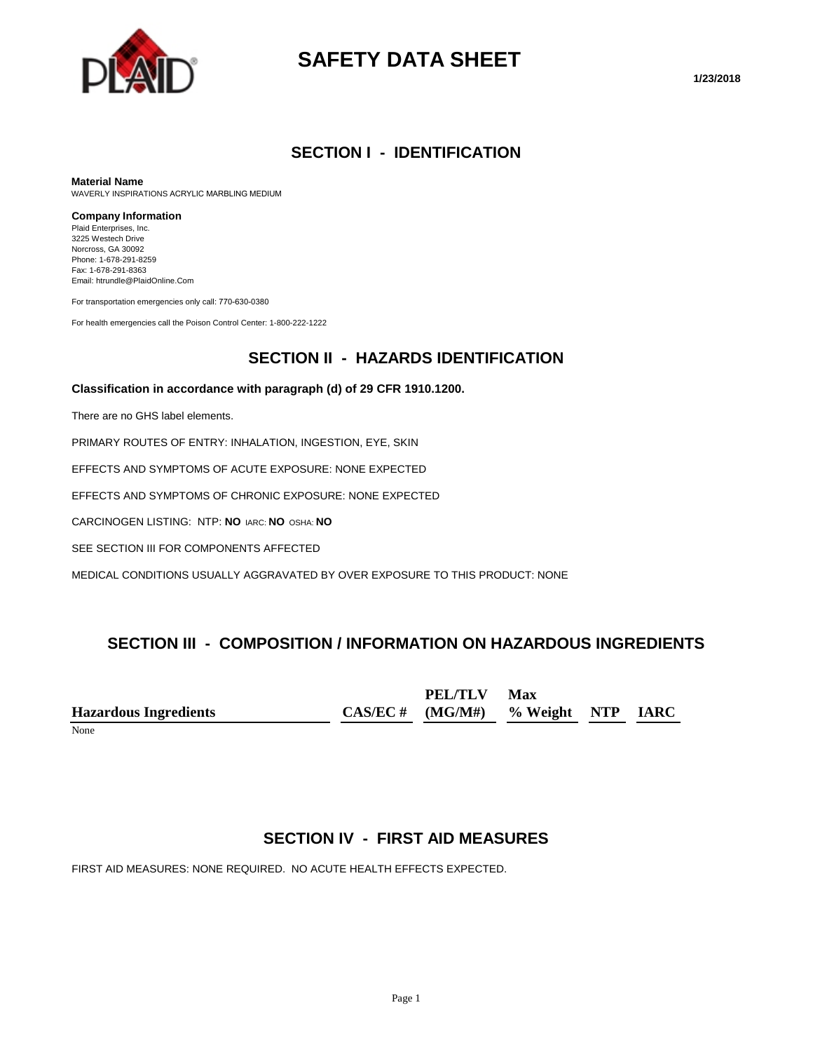

# **SAFETY DATA SHEET**

#### **SECTION I - IDENTIFICATION**

#### **Material Name**

WAVERLY INSPIRATIONS ACRYLIC MARBLING MEDIUM

#### **Company Information**

Plaid Enterprises, Inc. 3225 Westech Drive Norcross, GA 30092 Phone: 1-678-291-8259 Fax: 1-678-291-8363 Email: htrundle@PlaidOnline.Com

For transportation emergencies only call: 770-630-0380

For health emergencies call the Poison Control Center: 1-800-222-1222

#### **SECTION II - HAZARDS IDENTIFICATION**

#### **Classification in accordance with paragraph (d) of 29 CFR 1910.1200.**

There are no GHS label elements.

PRIMARY ROUTES OF ENTRY: INHALATION, INGESTION, EYE, SKIN

EFFECTS AND SYMPTOMS OF ACUTE EXPOSURE: NONE EXPECTED

EFFECTS AND SYMPTOMS OF CHRONIC EXPOSURE: NONE EXPECTED

CARCINOGEN LISTING: NTP: **NO** IARC: **NO** OSHA: **NO**

SEE SECTION III FOR COMPONENTS AFFECTED

MEDICAL CONDITIONS USUALLY AGGRAVATED BY OVER EXPOSURE TO THIS PRODUCT: NONE

#### **SECTION III - COMPOSITION / INFORMATION ON HAZARDOUS INGREDIENTS**

**Hazardous Ingredients CAS/EC # PEL/TLV (MG/M#) Max % Weight NTP IARC**

None

#### **SECTION IV - FIRST AID MEASURES**

FIRST AID MEASURES: NONE REQUIRED. NO ACUTE HEALTH EFFECTS EXPECTED.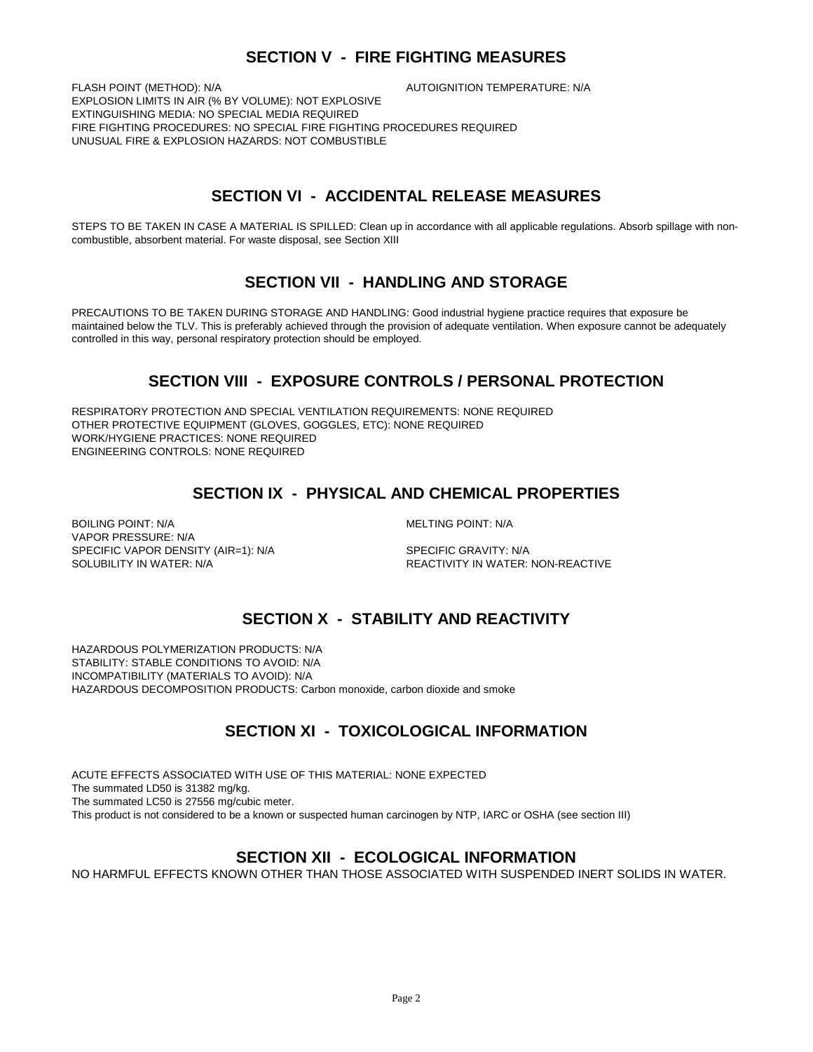# **SECTION V - FIRE FIGHTING MEASURES**

FLASH POINT (METHOD): N/A  $\overline{A}$  autoignition temperature: N/A EXPLOSION LIMITS IN AIR (% BY VOLUME): NOT EXPLOSIVE EXTINGUISHING MEDIA: NO SPECIAL MEDIA REQUIRED FIRE FIGHTING PROCEDURES: NO SPECIAL FIRE FIGHTING PROCEDURES REQUIRED UNUSUAL FIRE & EXPLOSION HAZARDS: NOT COMBUSTIBLE

# **SECTION VI - ACCIDENTAL RELEASE MEASURES**

STEPS TO BE TAKEN IN CASE A MATERIAL IS SPILLED: Clean up in accordance with all applicable regulations. Absorb spillage with noncombustible, absorbent material. For waste disposal, see Section XIII

# **SECTION VII - HANDLING AND STORAGE**

PRECAUTIONS TO BE TAKEN DURING STORAGE AND HANDLING: Good industrial hygiene practice requires that exposure be maintained below the TLV. This is preferably achieved through the provision of adequate ventilation. When exposure cannot be adequately controlled in this way, personal respiratory protection should be employed.

# **SECTION VIII - EXPOSURE CONTROLS / PERSONAL PROTECTION**

RESPIRATORY PROTECTION AND SPECIAL VENTILATION REQUIREMENTS: NONE REQUIRED OTHER PROTECTIVE EQUIPMENT (GLOVES, GOGGLES, ETC): NONE REQUIRED WORK/HYGIENE PRACTICES: NONE REQUIRED ENGINEERING CONTROLS: NONE REQUIRED

# **SECTION IX - PHYSICAL AND CHEMICAL PROPERTIES**

BOILING POINT: N/A GENERAL MELTING POINT: N/A VAPOR PRESSURE: N/A SPECIFIC VAPOR DENSITY (AIR=1): N/A SPECIFIC GRAVITY: N/A

SOLUBILITY IN WATER: N/A REACTIVITY IN WATER: NON-REACTIVE

# **SECTION X - STABILITY AND REACTIVITY**

HAZARDOUS POLYMERIZATION PRODUCTS: N/A STABILITY: STABLE CONDITIONS TO AVOID: N/A INCOMPATIBILITY (MATERIALS TO AVOID): N/A HAZARDOUS DECOMPOSITION PRODUCTS: Carbon monoxide, carbon dioxide and smoke

# **SECTION XI - TOXICOLOGICAL INFORMATION**

ACUTE EFFECTS ASSOCIATED WITH USE OF THIS MATERIAL: NONE EXPECTED The summated LD50 is 31382 mg/kg. The summated LC50 is 27556 mg/cubic meter. This product is not considered to be a known or suspected human carcinogen by NTP, IARC or OSHA (see section III)

# **SECTION XII - ECOLOGICAL INFORMATION**

NO HARMFUL EFFECTS KNOWN OTHER THAN THOSE ASSOCIATED WITH SUSPENDED INERT SOLIDS IN WATER.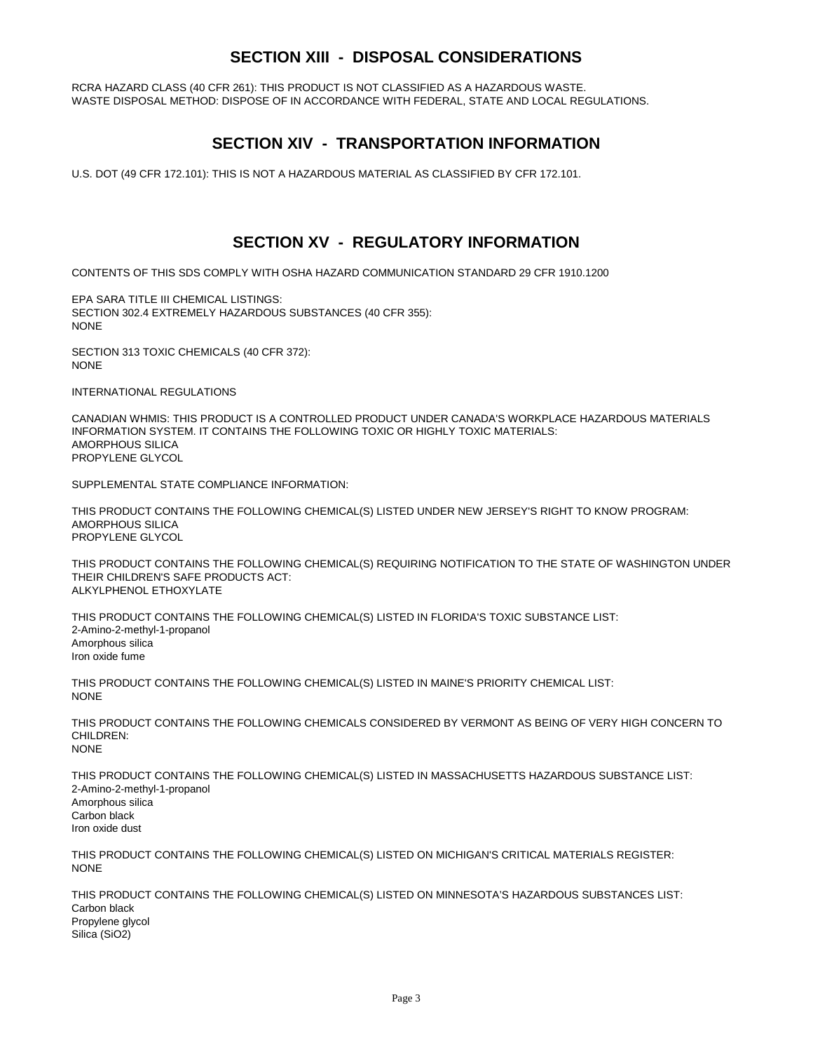# **SECTION XIII - DISPOSAL CONSIDERATIONS**

RCRA HAZARD CLASS (40 CFR 261): THIS PRODUCT IS NOT CLASSIFIED AS A HAZARDOUS WASTE. WASTE DISPOSAL METHOD: DISPOSE OF IN ACCORDANCE WITH FEDERAL, STATE AND LOCAL REGULATIONS.

#### **SECTION XIV - TRANSPORTATION INFORMATION**

U.S. DOT (49 CFR 172.101): THIS IS NOT A HAZARDOUS MATERIAL AS CLASSIFIED BY CFR 172.101.

#### **SECTION XV - REGULATORY INFORMATION**

CONTENTS OF THIS SDS COMPLY WITH OSHA HAZARD COMMUNICATION STANDARD 29 CFR 1910.1200

EPA SARA TITLE III CHEMICAL LISTINGS: SECTION 302.4 EXTREMELY HAZARDOUS SUBSTANCES (40 CFR 355): NONE

SECTION 313 TOXIC CHEMICALS (40 CFR 372): NONE

INTERNATIONAL REGULATIONS

CANADIAN WHMIS: THIS PRODUCT IS A CONTROLLED PRODUCT UNDER CANADA'S WORKPLACE HAZARDOUS MATERIALS INFORMATION SYSTEM. IT CONTAINS THE FOLLOWING TOXIC OR HIGHLY TOXIC MATERIALS: AMORPHOUS SILICA PROPYLENE GLYCOL

SUPPLEMENTAL STATE COMPLIANCE INFORMATION:

THIS PRODUCT CONTAINS THE FOLLOWING CHEMICAL(S) LISTED UNDER NEW JERSEY'S RIGHT TO KNOW PROGRAM: AMORPHOUS SILICA PROPYLENE GLYCOL

THIS PRODUCT CONTAINS THE FOLLOWING CHEMICAL(S) REQUIRING NOTIFICATION TO THE STATE OF WASHINGTON UNDER THEIR CHILDREN'S SAFE PRODUCTS ACT: ALKYLPHENOL ETHOXYLATE

THIS PRODUCT CONTAINS THE FOLLOWING CHEMICAL(S) LISTED IN FLORIDA'S TOXIC SUBSTANCE LIST: 2-Amino-2-methyl-1-propanol Amorphous silica Iron oxide fume

THIS PRODUCT CONTAINS THE FOLLOWING CHEMICAL(S) LISTED IN MAINE'S PRIORITY CHEMICAL LIST: **NONE** 

THIS PRODUCT CONTAINS THE FOLLOWING CHEMICALS CONSIDERED BY VERMONT AS BEING OF VERY HIGH CONCERN TO CHILDREN: NONE

THIS PRODUCT CONTAINS THE FOLLOWING CHEMICAL(S) LISTED IN MASSACHUSETTS HAZARDOUS SUBSTANCE LIST: 2-Amino-2-methyl-1-propanol Amorphous silica Carbon black Iron oxide dust

THIS PRODUCT CONTAINS THE FOLLOWING CHEMICAL(S) LISTED ON MICHIGAN'S CRITICAL MATERIALS REGISTER: **NONE** 

THIS PRODUCT CONTAINS THE FOLLOWING CHEMICAL(S) LISTED ON MINNESOTA'S HAZARDOUS SUBSTANCES LIST: Carbon black Propylene glycol Silica (SiO2)